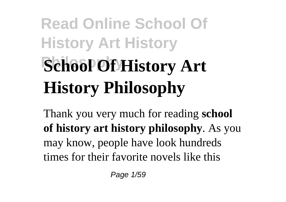# **Read Online School Of History Art History School Of History Art History Philosophy**

Thank you very much for reading **school of history art history philosophy**. As you may know, people have look hundreds times for their favorite novels like this

Page 1/59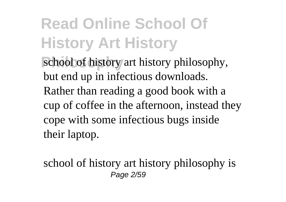school of history art history philosophy, but end up in infectious downloads. Rather than reading a good book with a cup of coffee in the afternoon, instead they cope with some infectious bugs inside their laptop.

school of history art history philosophy is Page 2/59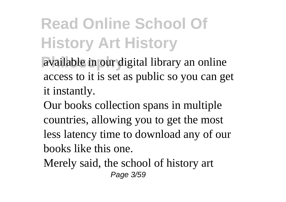available in our digital library an online access to it is set as public so you can get it instantly.

Our books collection spans in multiple countries, allowing you to get the most less latency time to download any of our books like this one.

Merely said, the school of history art Page 3/59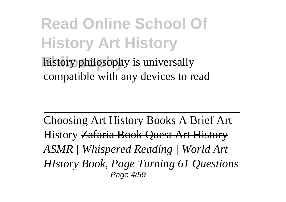#### **Read Online School Of History Art History** history philosophy is universally compatible with any devices to read

Choosing Art History Books A Brief Art History Zafaria Book Quest Art History *ASMR | Whispered Reading | World Art HIstory Book, Page Turning 61 Questions* Page 4/59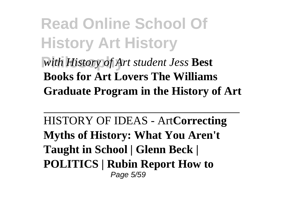#### **Read Online School Of History Art History Philosophy** *with History of Art student Jess* **Best Books for Art Lovers The Williams Graduate Program in the History of Art**

HISTORY OF IDEAS - Art**Correcting Myths of History: What You Aren't Taught in School | Glenn Beck | POLITICS | Rubin Report How to** Page 5/59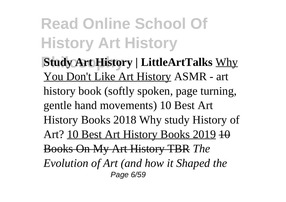**Philosophy Study Art History | LittleArtTalks** Why You Don't Like Art History ASMR - art history book (softly spoken, page turning, gentle hand movements) 10 Best Art History Books 2018 Why study History of Art? 10 Best Art History Books 2019 10 Books On My Art History TBR *The Evolution of Art (and how it Shaped the* Page 6/59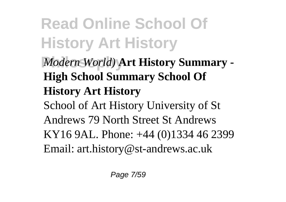**Read Online School Of History Art History Philosophy** *Modern World)* **Art History Summary - High School Summary School Of History Art History** School of Art History University of St Andrews 79 North Street St Andrews KY16 9AL. Phone: +44 (0)1334 46 2399 Email: art.history@st-andrews.ac.uk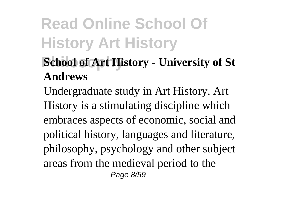#### **School of Art History - University of St Andrews**

Undergraduate study in Art History. Art History is a stimulating discipline which embraces aspects of economic, social and political history, languages and literature, philosophy, psychology and other subject areas from the medieval period to the Page 8/59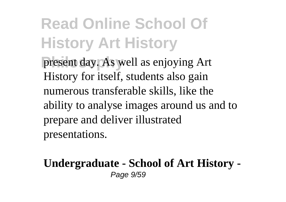**Read Online School Of History Art History** present day. As well as enjoying Art History for itself, students also gain numerous transferable skills, like the ability to analyse images around us and to prepare and deliver illustrated

presentations.

#### **Undergraduate - School of Art History -** Page 9/59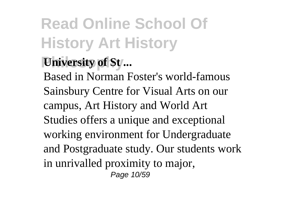#### *University of St...*

Based in Norman Foster's world-famous Sainsbury Centre for Visual Arts on our campus, Art History and World Art Studies offers a unique and exceptional working environment for Undergraduate and Postgraduate study. Our students work in unrivalled proximity to major, Page 10/59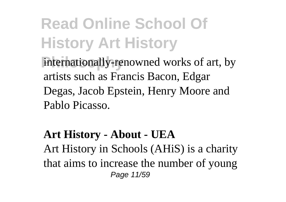internationally-renowned works of art, by artists such as Francis Bacon, Edgar Degas, Jacob Epstein, Henry Moore and Pablo Picasso.

#### **Art History - About - UEA**

Art History in Schools (AHiS) is a charity that aims to increase the number of young Page 11/59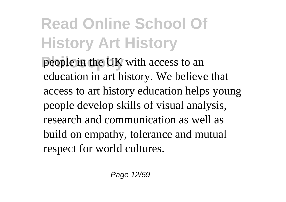**Philosophy** people in the UK with access to an education in art history. We believe that access to art history education helps young people develop skills of visual analysis, research and communication as well as build on empathy, tolerance and mutual respect for world cultures.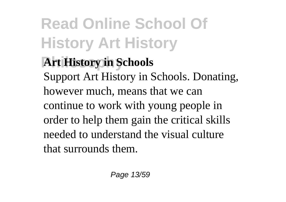**Art History in Schools** Support Art History in Schools. Donating, however much, means that we can continue to work with young people in order to help them gain the critical skills needed to understand the visual culture that surrounds them.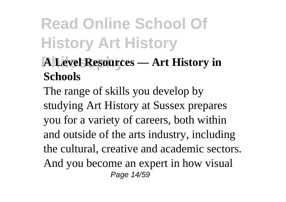#### **Philosophy A Level Resources — Art History in Schools**

The range of skills you develop by studying Art History at Sussex prepares you for a variety of careers, both within and outside of the arts industry, including the cultural, creative and academic sectors. And you become an expert in how visual Page 14/59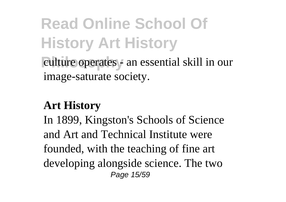**Read Online School Of History Art History Philosophy** culture operates - an essential skill in our image-saturate society.

#### **Art History**

In 1899, Kingston's Schools of Science and Art and Technical Institute were founded, with the teaching of fine art developing alongside science. The two Page 15/59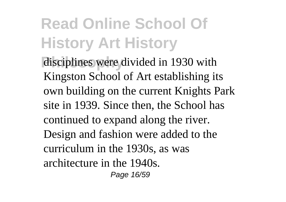disciplines were divided in 1930 with Kingston School of Art establishing its own building on the current Knights Park site in 1939. Since then, the School has continued to expand along the river. Design and fashion were added to the curriculum in the 1930s, as was architecture in the 1940s. Page 16/59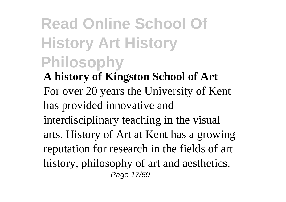### **Read Online School Of History Art History Philosophy**

**A history of Kingston School of Art** For over 20 years the University of Kent has provided innovative and interdisciplinary teaching in the visual arts. History of Art at Kent has a growing reputation for research in the fields of art history, philosophy of art and aesthetics, Page 17/59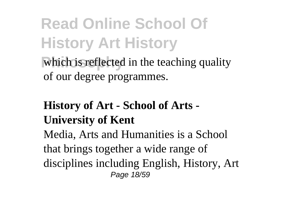which is reflected in the teaching quality of our degree programmes.

#### **History of Art - School of Arts - University of Kent**

Media, Arts and Humanities is a School that brings together a wide range of disciplines including English, History, Art Page 18/59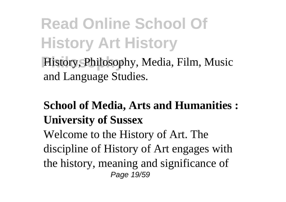History, Philosophy, Media, Film, Music and Language Studies.

#### **School of Media, Arts and Humanities : University of Sussex**

Welcome to the History of Art. The discipline of History of Art engages with the history, meaning and significance of Page 19/59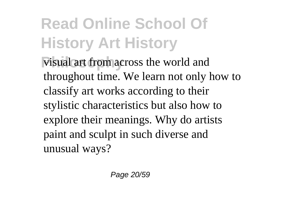visual art from across the world and throughout time. We learn not only how to classify art works according to their stylistic characteristics but also how to explore their meanings. Why do artists paint and sculpt in such diverse and unusual ways?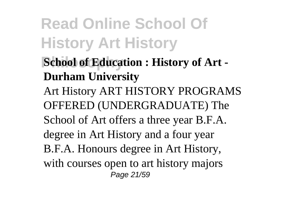- **School of Education : History of Art -Durham University**
- Art History ART HISTORY PROGRAMS OFFERED (UNDERGRADUATE) The School of Art offers a three year B.F.A. degree in Art History and a four year B.F.A. Honours degree in Art History, with courses open to art history majors Page 21/59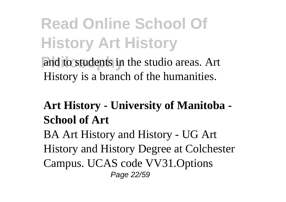#### **Read Online School Of History Art History** and to students in the studio areas. Art

History is a branch of the humanities.

#### **Art History - University of Manitoba - School of Art**

BA Art History and History - UG Art History and History Degree at Colchester Campus. UCAS code VV31.Options Page 22/59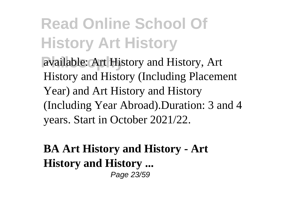available: Art History and History, Art History and History (Including Placement Year) and Art History and History (Including Year Abroad).Duration: 3 and 4 years. Start in October 2021/22.

**BA Art History and History - Art History and History ...** Page 23/59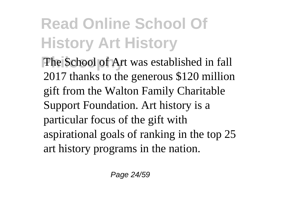The School of Art was established in fall 2017 thanks to the generous \$120 million gift from the Walton Family Charitable Support Foundation. Art history is a particular focus of the gift with aspirational goals of ranking in the top 25 art history programs in the nation.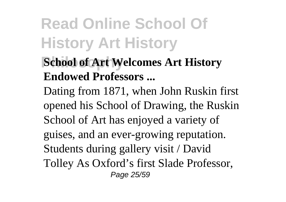**School of Art Welcomes Art History Endowed Professors ...**

Dating from 1871, when John Ruskin first opened his School of Drawing, the Ruskin School of Art has enjoyed a variety of guises, and an ever-growing reputation. Students during gallery visit / David Tolley As Oxford's first Slade Professor, Page 25/59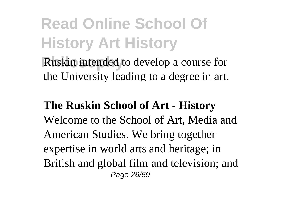**Ruskin intended to develop a course for** the University leading to a degree in art.

**The Ruskin School of Art - History** Welcome to the School of Art, Media and American Studies. We bring together expertise in world arts and heritage; in British and global film and television; and Page 26/59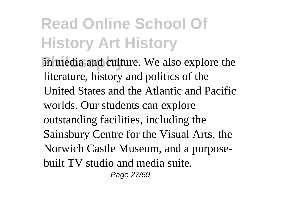in media and culture. We also explore the literature, history and politics of the United States and the Atlantic and Pacific worlds. Our students can explore outstanding facilities, including the Sainsbury Centre for the Visual Arts, the Norwich Castle Museum, and a purposebuilt TV studio and media suite. Page 27/59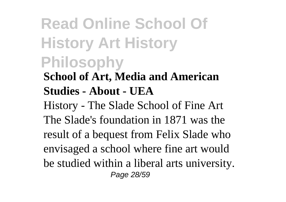#### **Read Online School Of History Art History Philosophy School of Art, Media and American Studies - About - UEA**

History - The Slade School of Fine Art The Slade's foundation in 1871 was the result of a bequest from Felix Slade who envisaged a school where fine art would be studied within a liberal arts university. Page 28/59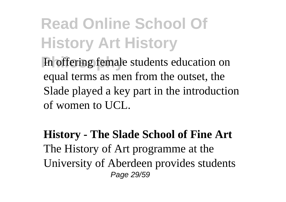In offering female students education on equal terms as men from the outset, the Slade played a key part in the introduction of women to UCL.

**History - The Slade School of Fine Art** The History of Art programme at the University of Aberdeen provides students Page 29/59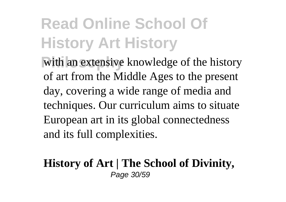with an extensive knowledge of the history of art from the Middle Ages to the present day, covering a wide range of media and techniques. Our curriculum aims to situate European art in its global connectedness and its full complexities.

#### **History of Art | The School of Divinity,** Page 30/59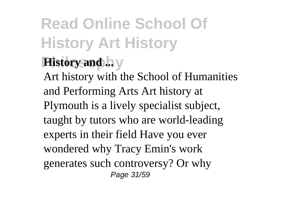#### **Read Online School Of History Art History History and ... v**

Art history with the School of Humanities and Performing Arts Art history at Plymouth is a lively specialist subject, taught by tutors who are world-leading experts in their field Have you ever wondered why Tracy Emin's work generates such controversy? Or why Page 31/59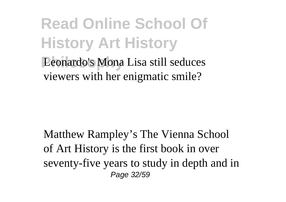#### **Read Online School Of History Art History Philosophy** Leonardo's Mona Lisa still seduces viewers with her enigmatic smile?

Matthew Rampley's The Vienna School of Art History is the first book in over seventy-five years to study in depth and in Page 32/59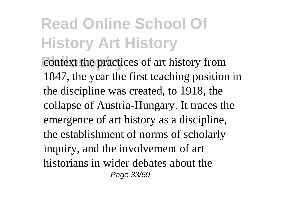**Philosopherical context the practices of art history from** 1847, the year the first teaching position in the discipline was created, to 1918, the collapse of Austria-Hungary. It traces the emergence of art history as a discipline, the establishment of norms of scholarly inquiry, and the involvement of art historians in wider debates about the Page 33/59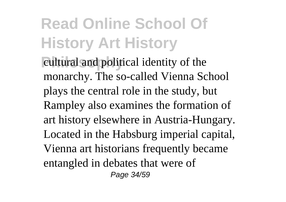**Philosophy** cultural and political identity of the monarchy. The so-called Vienna School plays the central role in the study, but Rampley also examines the formation of art history elsewhere in Austria-Hungary. Located in the Habsburg imperial capital, Vienna art historians frequently became entangled in debates that were of Page 34/59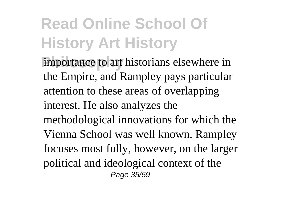importance to art historians elsewhere in the Empire, and Rampley pays particular attention to these areas of overlapping interest. He also analyzes the methodological innovations for which the Vienna School was well known. Rampley focuses most fully, however, on the larger political and ideological context of the Page 35/59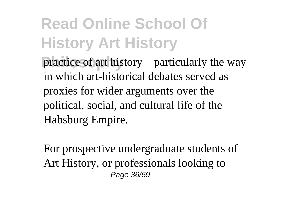practice of art history—particularly the way in which art-historical debates served as proxies for wider arguments over the political, social, and cultural life of the Habsburg Empire.

For prospective undergraduate students of Art History, or professionals looking to Page 36/59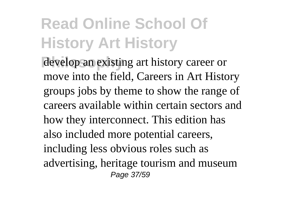develop an existing art history career or move into the field, Careers in Art History groups jobs by theme to show the range of careers available within certain sectors and how they interconnect. This edition has also included more potential careers, including less obvious roles such as advertising, heritage tourism and museum Page 37/59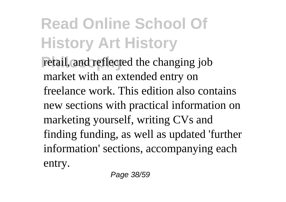retail, and reflected the changing job market with an extended entry on freelance work. This edition also contains new sections with practical information on marketing yourself, writing CVs and finding funding, as well as updated 'further information' sections, accompanying each entry.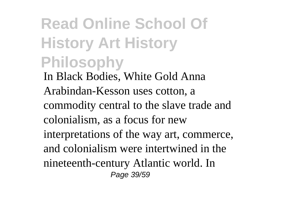#### **Read Online School Of History Art History Philosophy** In Black Bodies, White Gold Anna Arabindan-Kesson uses cotton, a commodity central to the slave trade and colonialism, as a focus for new interpretations of the way art, commerce, and colonialism were intertwined in the nineteenth-century Atlantic world. In Page 39/59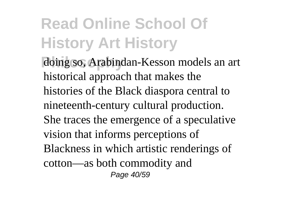**Philosophy** doing so, Arabindan-Kesson models an art historical approach that makes the histories of the Black diaspora central to nineteenth-century cultural production. She traces the emergence of a speculative vision that informs perceptions of Blackness in which artistic renderings of cotton—as both commodity and Page 40/59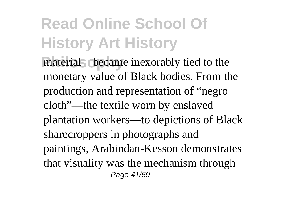material—became inexorably tied to the monetary value of Black bodies. From the production and representation of "negro cloth"—the textile worn by enslaved plantation workers—to depictions of Black sharecroppers in photographs and paintings, Arabindan-Kesson demonstrates that visuality was the mechanism through Page 41/59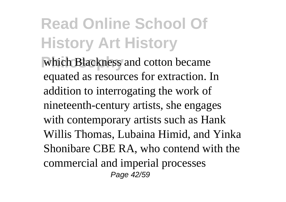which Blackness and cotton became equated as resources for extraction. In addition to interrogating the work of nineteenth-century artists, she engages with contemporary artists such as Hank Willis Thomas, Lubaina Himid, and Yinka Shonibare CBE RA, who contend with the commercial and imperial processes Page 42/59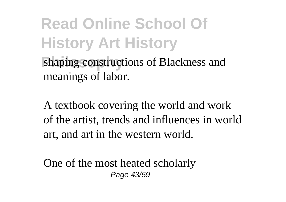**Read Online School Of History Art History** shaping constructions of Blackness and meanings of labor.

A textbook covering the world and work of the artist, trends and influences in world art, and art in the western world.

One of the most heated scholarly Page 43/59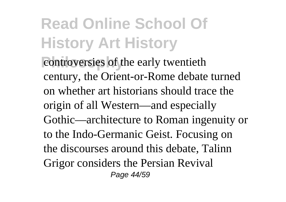controversies of the early twentieth century, the Orient-or-Rome debate turned on whether art historians should trace the origin of all Western—and especially Gothic—architecture to Roman ingenuity or to the Indo-Germanic Geist. Focusing on the discourses around this debate, Talinn Grigor considers the Persian Revival Page 44/59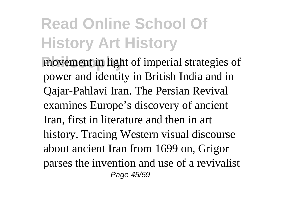movement in light of imperial strategies of power and identity in British India and in Qajar-Pahlavi Iran. The Persian Revival examines Europe's discovery of ancient Iran, first in literature and then in art history. Tracing Western visual discourse about ancient Iran from 1699 on, Grigor parses the invention and use of a revivalist Page 45/59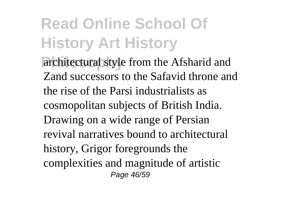architectural style from the Afsharid and Zand successors to the Safavid throne and the rise of the Parsi industrialists as cosmopolitan subjects of British India. Drawing on a wide range of Persian revival narratives bound to architectural history, Grigor foregrounds the complexities and magnitude of artistic Page 46/59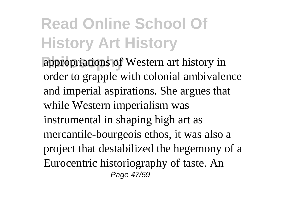appropriations of Western art history in order to grapple with colonial ambivalence and imperial aspirations. She argues that while Western imperialism was instrumental in shaping high art as mercantile-bourgeois ethos, it was also a project that destabilized the hegemony of a Eurocentric historiography of taste. An Page 47/59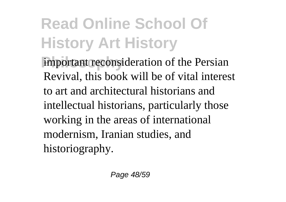important reconsideration of the Persian Revival, this book will be of vital interest to art and architectural historians and intellectual historians, particularly those working in the areas of international modernism, Iranian studies, and historiography.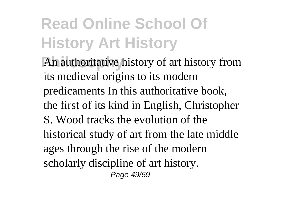An authoritative history of art history from its medieval origins to its modern predicaments In this authoritative book, the first of its kind in English, Christopher S. Wood tracks the evolution of the historical study of art from the late middle ages through the rise of the modern scholarly discipline of art history. Page 49/59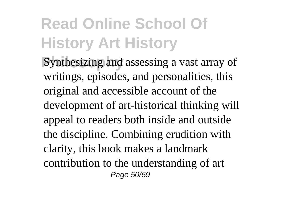**Philosophy** Synthesizing and assessing a vast array of writings, episodes, and personalities, this original and accessible account of the development of art-historical thinking will appeal to readers both inside and outside the discipline. Combining erudition with clarity, this book makes a landmark contribution to the understanding of art Page 50/59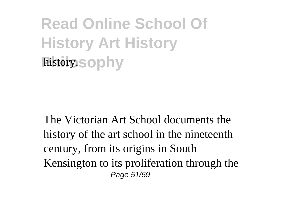**Read Online School Of History Art History** history.sophy

The Victorian Art School documents the history of the art school in the nineteenth century, from its origins in South Kensington to its proliferation through the Page 51/59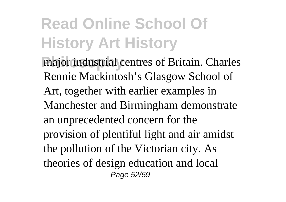major industrial centres of Britain. Charles Rennie Mackintosh's Glasgow School of Art, together with earlier examples in Manchester and Birmingham demonstrate an unprecedented concern for the provision of plentiful light and air amidst the pollution of the Victorian city. As theories of design education and local Page 52/59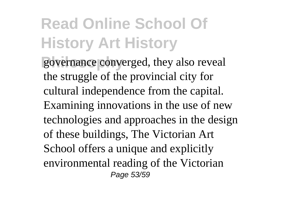governance converged, they also reveal the struggle of the provincial city for cultural independence from the capital. Examining innovations in the use of new technologies and approaches in the design of these buildings, The Victorian Art School offers a unique and explicitly environmental reading of the Victorian Page 53/59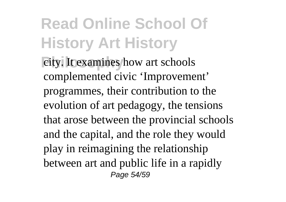**Philosophy** city. It examines how art schools complemented civic 'Improvement' programmes, their contribution to the evolution of art pedagogy, the tensions that arose between the provincial schools and the capital, and the role they would play in reimagining the relationship between art and public life in a rapidly Page 54/59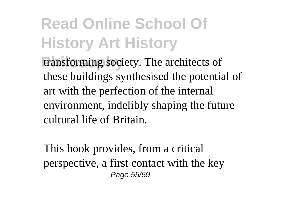transforming society. The architects of these buildings synthesised the potential of art with the perfection of the internal environment, indelibly shaping the future cultural life of Britain.

This book provides, from a critical perspective, a first contact with the key Page 55/59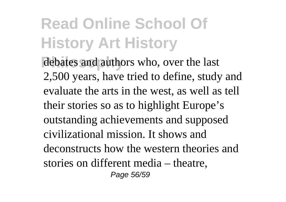debates and authors who, over the last 2,500 years, have tried to define, study and evaluate the arts in the west, as well as tell their stories so as to highlight Europe's outstanding achievements and supposed civilizational mission. It shows and deconstructs how the western theories and stories on different media – theatre, Page 56/59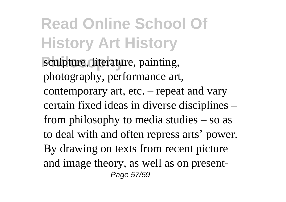sculpture, literature, painting, photography, performance art, contemporary art, etc. – repeat and vary certain fixed ideas in diverse disciplines – from philosophy to media studies – so as to deal with and often repress arts' power. By drawing on texts from recent picture and image theory, as well as on present-Page 57/59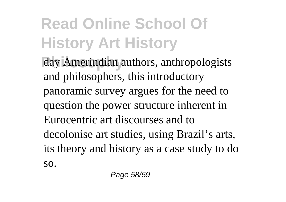day Amerindian authors, anthropologists and philosophers, this introductory panoramic survey argues for the need to question the power structure inherent in Eurocentric art discourses and to decolonise art studies, using Brazil's arts, its theory and history as a case study to do so.